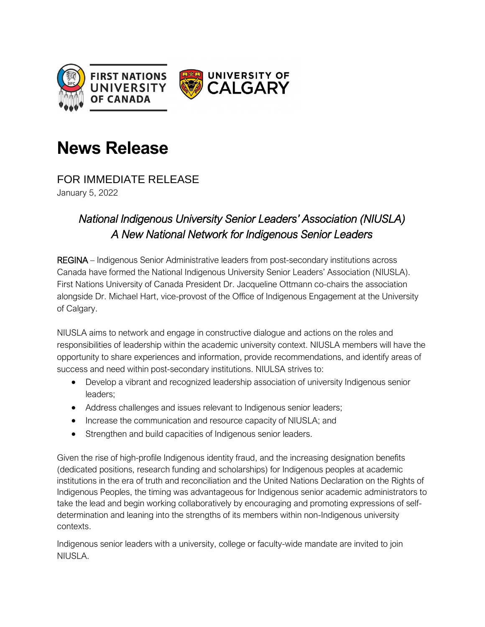

# **News Release**

FOR IMMEDIATE RELEASE

January 5, 2022

## *National Indigenous University Senior Leaders' Association (NIUSLA) A New National Network for Indigenous Senior Leaders*

REGINA – Indigenous Senior Administrative leaders from post-secondary institutions across Canada have formed the National Indigenous University Senior Leaders' Association (NIUSLA). First Nations University of Canada President Dr. Jacqueline Ottmann co-chairs the association alongside Dr. Michael Hart, vice-provost of the Office of Indigenous Engagement at the University of Calgary.

NIUSLA aims to network and engage in constructive dialogue and actions on the roles and responsibilities of leadership within the academic university context. NIUSLA members will have the opportunity to share experiences and information, provide recommendations, and identify areas of success and need within post-secondary institutions. NIULSA strives to:

- Develop a vibrant and recognized leadership association of university Indigenous senior leaders;
- Address challenges and issues relevant to Indigenous senior leaders;
- Increase the communication and resource capacity of NIUSLA; and
- Strengthen and build capacities of Indigenous senior leaders.

Given the rise of high-profile Indigenous identity fraud, and the increasing designation benefits (dedicated positions, research funding and scholarships) for Indigenous peoples at academic institutions in the era of truth and reconciliation and the United Nations Declaration on the Rights of Indigenous Peoples, the timing was advantageous for Indigenous senior academic administrators to take the lead and beginworking collaboratively by encouraging and promoting expressions of selfdetermination and leaning into the strengths of its members within non-Indigenous university contexts.

Indigenous senior leaders with a university, college or faculty-wide mandate are invited to join NIUSLA.